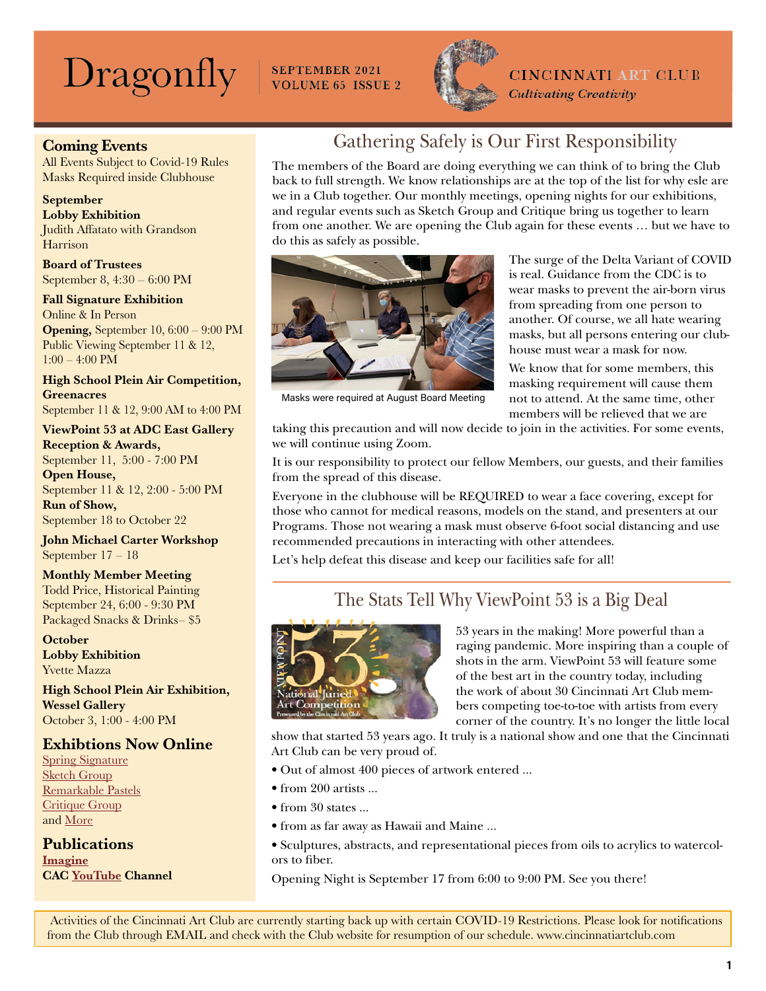# $\text{Dragonly}$  SEPTEMBER 2021



### **CINCINNATI ART CLUB**

**Cultivating Creativity** 

### Coming Events

All Events Subject to Covid-19 Rules Masks Required inside Clubhouse

#### September

Lobby Exhibition Judith Affatato with Grandson Harrison

Board of Trustees September 8, 4:30 – 6:00 PM

#### Fall Signature Exhibition

Online & In Person Opening, September 10, 6:00 – 9:00 PM Public Viewing September 11 & 12, 1:00 – 4:00 PM

High School Plein Air Competition, **Greenacres** 

September 11 & 12, 9:00 AM to 4:00 PM

### ViewPoint 53 at ADC East Gallery Reception & Awards,

September 11, 5:00 - 7:00 PM Open House, September 11 & 12, 2:00 - 5:00 PM Run of Show,

September 18 to October 22

#### John Michael Carter Workshop September 17 – 18

### Monthly Member Meeting

Todd Price, Historical Painting September 24, 6:00 - 9:30 PM Packaged Snacks & Drinks– \$5

**October** Lobby Exhibition Yvette Mazza

High School Plein Air Exhibition, Wessel Gallery October 3, 1:00 - 4:00 PM

### Exhibtions Now Online

[Spring Signature](https://cincinnatiartclub.org/signature-exhibition-spring-2021/) [Sketch Group](https://cincinnatiartclub.org/2021-sketch-group-exhibition/) [Remarkable Pastels](https://cincinnatiartclub.org/cac-exhibitions/2021-remarkable-pastels/) [Critique Group](https://cincinnatiartclub.org/2021-critique-group-exhibition/) and [More](http://www.cincinnatiartclub.com/index.html)

**Publications [Imagine](https://cincinnatiartclub.org/community/imagine-magazine/)** CAC [YouTube](https://www.youtube.com/channel/UCUfJGPsIhKnIrCSoALXW2LA) Channel

# Gathering Safely is Our First Responsibility

The members of the Board are doing everything we can think of to bring the Club back to full strength. We know relationships are at the top of the list for why esle are we in a Club together. Our monthly meetings, opening nights for our exhibitions, and regular events such as Sketch Group and Critique bring us together to learn from one another. We are opening the Club again for these events … but we have to do this as safely as possible.



Masks were required at August Board Meeting

The surge of the Delta Variant of COVID is real. Guidance from the CDC is to wear masks to prevent the air-born virus from spreading from one person to another. Of course, we all hate wearing masks, but all persons entering our clubhouse must wear a mask for now.

We know that for some members, this masking requirement will cause them not to attend. At the same time, other members will be relieved that we are

taking this precaution and will now decide to join in the activities. For some events, we will continue using Zoom.

It is our responsibility to protect our fellow Members, our guests, and their families from the spread of this disease.

Everyone in the clubhouse will be REQUIRED to wear a face covering, except for those who cannot for medical reasons, models on the stand, and presenters at our Programs. Those not wearing a mask must observe 6-foot social distancing and use recommended precautions in interacting with other attendees.

Let's help defeat this disease and keep our facilities safe for all!

# The Stats Tell Why ViewPoint 53 is a Big Deal



53 years in the making! More powerful than a raging pandemic. More inspiring than a couple of shots in the arm. ViewPoint 53 will feature some of the best art in the country today, including the work of about 30 Cincinnati Art Club members competing toe-to-toe with artists from every corner of the country. It's no longer the little local

show that started 53 years ago. It truly is a national show and one that the Cincinnati Art Club can be very proud of.

- Out of almost 400 pieces of artwork entered ...
- from 200 artists ...
- from 30 states ...
- from as far away as Hawaii and Maine ...
- Sculptures, abstracts, and representational pieces from oils to acrylics to watercolors to fiber.

Opening Night is September 17 from 6:00 to 9:00 PM. See you there!

 Activities of the Cincinnati Art Club are currently starting back up with certain COVID-19 Restrictions. Please look for notifications from the Club through EMAIL and check with the Club website for resumption of our schedule. www.cincinnatiartclub.com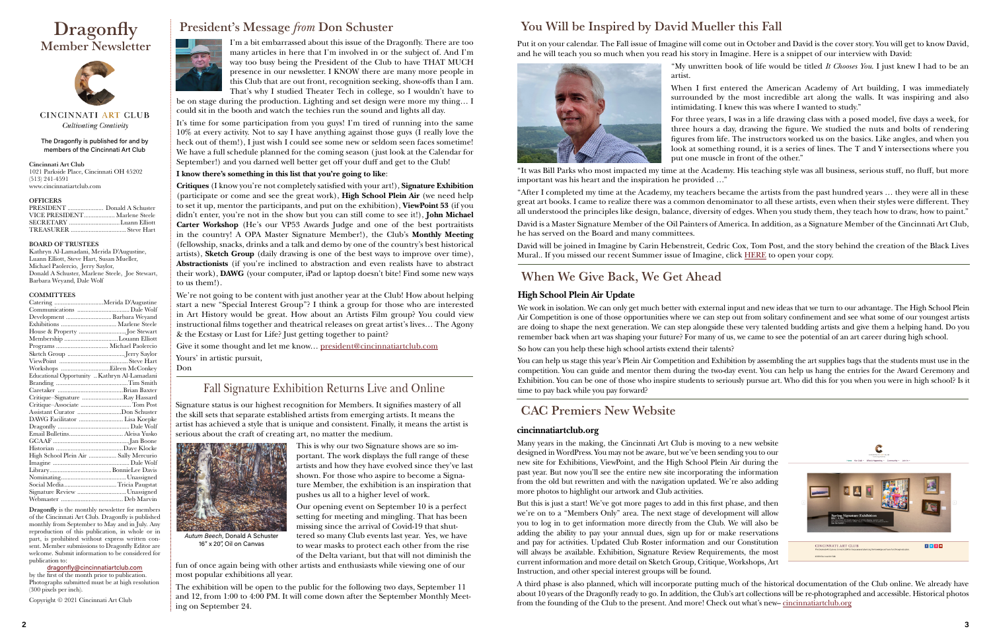#### The Dragonfly is published for and by members of the Cincinnati Art Club

Cincinnati Art Club 1021 Parkside Place, Cincinnati OH 45202 (513) 241-4591 www.cincinnatiartclub.com

#### **OFFICERS**

| VICE PRESIDENT Marlene Steele |  |
|-------------------------------|--|
|                               |  |
|                               |  |

#### BOARD OF TRUSTEES

Kathryn Al-Lamadani, Merida D'Augustine, Luann Elliott, Steve Hart, Susan Mueller, Michael Paolercio, Jerry Saylor, Donald A Schuster, Marlene Steele, Joe Stewart, Barbara Weyand, Dale Wolf

#### **COMMITTEES**

# **Dragonfly** Member Newsletter



CINCINNATI ART CLUB Cultivating Creativity

| Catering Merida D'Augustine                  |                             |
|----------------------------------------------|-----------------------------|
|                                              |                             |
| Development  Barbara Weyand                  |                             |
|                                              |                             |
| House & Property Joe Stewart                 |                             |
| Membership Louann Elliott                    |                             |
| Programs  Michael Paolercio                  |                             |
|                                              |                             |
|                                              |                             |
|                                              |                             |
| Educational Opportunity  Kathryn Al-Lamadani |                             |
|                                              |                             |
|                                              |                             |
| Critique–Signature Ray Hassard               |                             |
| Critique-Associate  Tom Post                 |                             |
| Assistant Curator Don Schuster               |                             |
|                                              |                             |
|                                              |                             |
|                                              |                             |
|                                              |                             |
|                                              |                             |
| High School Plein Air  Sally Mercurio        |                             |
|                                              |                             |
|                                              |                             |
|                                              |                             |
| Social Media Tricia Paugstat                 |                             |
|                                              | Signature Review Unassigned |
|                                              |                             |

Dragonfly is the monthly newsletter for members of the Cincinnati Art Club. Dragonfly is published monthly from September to May and in July. Any reproduction of this publication, in whole or in part, is prohibited without express written consent. Member submissions to Dragonfly Editor are welcome. Submit information to be considered for publication to:

#### [dragonfly@cincinnatiartclub.com](mailto:dragonfly%40cincinnatiartclub.com?subject=dragonfly%40cincinnatiartclub.com)

by the first of the month prior to publication. Photographs submitted must be at high resolution (300 pixels per inch).

Copyright © 2021 Cincinnati Art Club



# President's Message *from* Don Schuster

I'm a bit embarrassed about this issue of the Dragonfly. There are too many articles in here that I'm involved in or the subject of. And I'm way too busy being the President of the Club to have THAT MUCH presence in our newsletter. I KNOW there are many more people in this Club that are out front, recognition seeking, show-offs than I am. That's why I studied Theater Tech in college, so I wouldn't have to

be on stage during the production. Lighting and set design were more my thing… I could sit in the booth and watch the techies run the sound and lights all day.

It's time for some participation from you guys! I'm tired of running into the same 10% at every activity. Not to say I have anything against those guys (I really love the heck out of them!), I just wish I could see some new or seldom seen faces sometime! We have a full schedule planned for the coming season (just look at the Calendar for September!) and you darned well better get off your duff and get to the Club!

#### **I know there's something in this list that you're going to like**:

**Critiques** (I know you're not completely satisfied with your art!), **Signature Exhibition**  (participate or come and see the great work), **High School Plein Air** (we need help to set it up, mentor the participants, and put on the exhibition), **ViewPoint 53** (if you didn't enter, you're not in the show but you can still come to see it!), **John Michael Carter Workshop** (He's our VP53 Awards Judge and one of the best portraitists in the country! A OPA Master Signature Member!), the Club's **Monthly Meeting**  (fellowship, snacks, drinks and a talk and demo by one of the country's best historical artists), **Sketch Group** (daily drawing is one of the best ways to improve over time), **Abstractionists** (if you're inclined to abstraction and even realists have to abstract their work), **DAWG** (your computer, iPad or laptop doesn't bite! Find some new ways to us them!).

David will be joined in Imagine by Carin Hebenstreit, Cedric Cox, Tom Post, and the story behind the creation of the Black Lives Mural.. If you missed our recent Summer issue of Imagine, click [HERE](https://cincinnatiartclub.org/community/imagine-magazine/) to open your copy.

We're not going to be content with just another year at the Club! How about helping start a new "Special Interest Group"? I think a group for those who are interested in Art History would be great. How about an Artists Film group? You could view instructional films together and theatrical releases on great artist's lives… The Agony & the Ecstasy or Lust for Life? Just getting together to paint?

Give it some thought and let me know… [president@cincinnatiartclub.com](mailto:president%40cincinnatiartclub.com%20?subject=) Yours' in artistic pursuit,

Don

Signature status is our highest recognition for Members. It signifies mastery of all the skill sets that separate established artists from emerging artists. It means the artist has achieved a style that is unique and consistent. Finally, it means the artist is serious about the craft of creating art, no matter the medium.



This is why our two Signature shows are so important. The work displays the full range of these artists and how they have evolved since they've last shown. For those who aspire to become a Signature Member, the exhibition is an inspiration that pushes us all to a higher level of work.

Our opening event on September 10 is a perfect setting for meeting and mingling. That has been missing since the arrival of Covid-19 that shuttered so many Club events last year. Yes, we have to wear masks to protect each other from the rise of the Delta variant, but that will not diminish the

fun of once again being with other artists and enthusiasts while viewing one of our most popular exhibitions all year.

The exhibition will be open to the public for the following two days, September 11 and 12, from 1:00 to 4:00 PM. It will come down after the September Monthly Meeting on September 24.

# Fall Signature Exhibition Returns Live and Online

*Autum Beech*, Donald A Schuster 16" x 20", Oil on Canvas

#### **High School Plein Air Update**

We work in isolation. We can only get much better with external input and new ideas that we turn to our advantage. The High School Plein Air Competition is one of those opportunities where we can step out from solitary confinement and see what some of our youngest artists are doing to shape the next generation. We can step alongside these very talented budding artists and give them a helping hand. Do you remember back when art was shaping your future? For many of us, we came to see the potential of an art career during high school.

So how can you help these high school artists extend their talents?

You can help us stage this year's Plein Air Competition and Exhibition by assembling the art supplies bags that the students must use in the competition. You can guide and mentor them during the two-day event. You can help us hang the entries for the Award Ceremony and Exhibition. You can be one of those who inspire students to seriously pursue art. Who did this for you when you were in high school? Is it time to pay back while you pay forward?

### When We Give Back, We Get Ahead

Put it on your calendar. The Fall issue of Imagine will come out in October and David is the cover story. You will get to know David, and he will teach you so much when you read his story in Imagine. Here is a snippet of our interview with David:



"My unwritten book of life would be titled *It Chooses You*. I just knew I had to be an



artist.

When I first entered the American Academy of Art building, I was immediately surrounded by the most incredible art along the walls. It was inspiring and also intimidating. I knew this was where I wanted to study." For three years, I was in a life drawing class with a posed model, five days a week, for three hours a day, drawing the figure. We studied the nuts and bolts of rendering figures from life. The instructors worked us on the basics. Like angles, and when you look at something round, it is a series of lines. The T and Y intersections where you put one muscle in front of the other."

"It was Bill Parks who most impacted my time at the Academy. His teaching style was all business, serious stuff, no fluff, but more important was his heart and the inspiration he provided …"

"After I completed my time at the Academy, my teachers became the artists from the past hundred years … they were all in these great art books. I came to realize there was a common denominator to all these artists, even when their styles were different. They all understood the principles like design, balance, diversity of edges. When you study them, they teach how to draw, how to paint." David is a Master Signature Member of the Oil Painters of America. In addition, as a Signature Member of the Cincinnati Art Club,

he has served on the Board and many committees.

# You Will be Inspired by David Mueller this Fall

# CAC Premiers New Website

#### **cincinnatiartclub.org**

Many years in the making, the Cincinnati Art Club is moving to a new website designed in WordPress. You may not be aware, but we've been sending you to our new site for Exhibitions, ViewPoint, and the High School Plein Air during the past year. But now you'll see the entire new site incorporating the information from the old but rewritten and with the navigation updated. We're also adding more photos to highlight our artwork and Club activities.

But this is just a start! We've got more pages to add in this first phase, and then we're on to a "Members Only" area. The next stage of development will allow you to log in to get information more directly from the Club. We will also be adding the ability to pay your annual dues, sign up for or make reservations and pay for activities. Updated Club Roster information and our Constitution will always be available. Exhibition, Signature Review Requirements, the most current information and more detail on Sketch Group, Critique, Workshops, Art Instruction, and other special interest groups will be found.

A third phase is also planned, which will incorporate putting much of the historical documentation of the Club online. We already have about 10 years of the Dragonfly ready to go. In addition, the Club's art collections will be re-photographed and accessible. Historical photos from the founding of the Club to the present. And more! Check out what's new– [cincinnatiartclub.org](https://cincinnatiartclub.org)